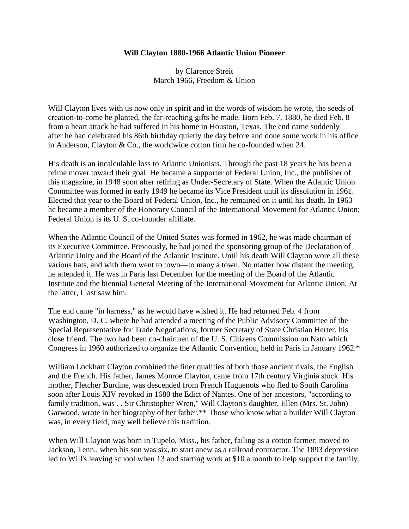## **Will Clayton 1880-1966 Atlantic Union Pioneer**

by Clarence Streit March 1966, Freedom & Union

Will Clayton lives with us now only in spirit and in the words of wisdom he wrote, the seeds of creation-to-come he planted, the far-reaching gifts he made. Born Feb. 7, 1880, he died Feb. 8 from a heart attack he had suffered in his home in Houston, Texas. The end came suddenly after he had celebrated his 86th birthday quietly the day before and done some work in his office in Anderson, Clayton & Co., the worldwide cotton firm he co-founded when 24.

His death is an incalculable loss to Atlantic Unionists. Through the past 18 years he has been a prime mover toward their goal. He became a supporter of Federal Union, Inc., the publisher of this magazine, in 1948 soon after retiring as Under-Secretary of State. When the Atlantic Union Committee was formed in early 1949 he became its Vice President until its dissolution in 1961. Elected that year to the Board of Federal Union, Inc., he remained on it until his death. In 1963 he became a member of the Honorary Council of the International Movement for Atlantic Union; Federal Union is its U. S. co-founder affiliate.

When the Atlantic Council of the United States was formed in 1962, he was made chairman of its Executive Committee. Previously, he had joined the sponsoring group of the Declaration of Atlantic Unity and the Board of the Atlantic Institute. Until his death Will Clayton wore all these various hats, and with them went to town—to many a town. No matter how distant the meeting, he attended it. He was in Paris last December for the meeting of the Board of the Atlantic Institute and the biennial General Meeting of the International Movement for Atlantic Union. At the latter, I last saw him.

The end came "in harness," as he would have wished it. He had returned Feb. 4 from Washington, D. C. where he had attended a meeting of the Public Advisory Committee of the Special Representative for Trade Negotiations, former Secretary of State Christian Herter, his close friend. The two had been co-chairmen of the U. S. Citizens Commission on Nato which Congress in 1960 authorized to organize the Atlantic Convention, held in Paris in January 1962.\*

William Lockhart Clayton combined the finer qualities of both those ancient rivals, the English and the French. His father, James Monroe Clayton, came from 17th century Virginia stock. His mother, Fletcher Burdine, was descended from French Huguenots who fled to South Carolina soon after Louis XIV revoked in 1680 the Edict of Nantes. One of her ancestors, "according to family tradition, was . . Sir Christopher Wren," Will Clayton's daughter, Ellen (Mrs. St. John) Garwood, wrote in her biography of her father.\*\* Those who know what a builder Will Clayton was, in every field, may well believe this tradition.

When Will Clayton was born in Tupelo, Miss., his father, failing as a cotton farmer, moved to Jackson, Tenn., when his son was six, to start anew as a railroad contractor. The 1893 depression led to Will's leaving school when 13 and starting work at \$10 a month to help support the family.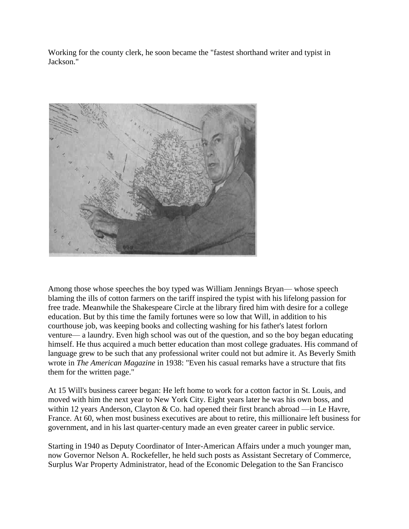Working for the county clerk, he soon became the "fastest shorthand writer and typist in Jackson."



Among those whose speeches the boy typed was William Jennings Bryan— whose speech blaming the ills of cotton farmers on the tariff inspired the typist with his lifelong passion for free trade. Meanwhile the Shakespeare Circle at the library fired him with desire for a college education. But by this time the family fortunes were so low that Will, in addition to his courthouse job, was keeping books and collecting washing for his father's latest forlorn venture— a laundry. Even high school was out of the question, and so the boy began educating himself. He thus acquired a much better education than most college graduates. His command of language grew to be such that any professional writer could not but admire it. As Beverly Smith wrote in *The American Magazine* in 1938: "Even his casual remarks have a structure that fits them for the written page."

At 15 Will's business career began: He left home to work for a cotton factor in St. Louis, and moved with him the next year to New York City. Eight years later he was his own boss, and within 12 years Anderson, Clayton & Co. had opened their first branch abroad —in Le Havre, France. At 60, when most business executives are about to retire, this millionaire left business for government, and in his last quarter-century made an even greater career in public service.

Starting in 1940 as Deputy Coordinator of Inter-American Affairs under a much younger man, now Governor Nelson A. Rockefeller, he held such posts as Assistant Secretary of Commerce, Surplus War Property Administrator, head of the Economic Delegation to the San Francisco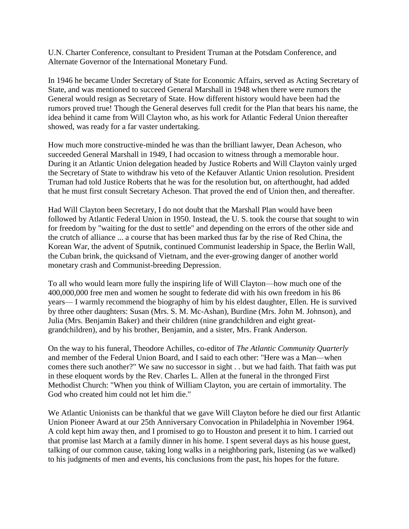U.N. Charter Conference, consultant to President Truman at the Potsdam Conference, and Alternate Governor of the International Monetary Fund.

In 1946 he became Under Secretary of State for Economic Affairs, served as Acting Secretary of State, and was mentioned to succeed General Marshall in 1948 when there were rumors the General would resign as Secretary of State. How different history would have been had the rumors proved true! Though the General deserves full credit for the Plan that bears his name, the idea behind it came from Will Clayton who, as his work for Atlantic Federal Union thereafter showed, was ready for a far vaster undertaking.

How much more constructive-minded he was than the brilliant lawyer, Dean Acheson, who succeeded General Marshall in 1949, I had occasion to witness through a memorable hour. During it an Atlantic Union delegation headed by Justice Roberts and Will Clayton vainly urged the Secretary of State to withdraw his veto of the Kefauver Atlantic Union resolution. President Truman had told Justice Roberts that he was for the resolution but, on afterthought, had added that he must first consult Secretary Acheson. That proved the end of Union then, and thereafter.

Had Will Clayton been Secretary, I do not doubt that the Marshall Plan would have been followed by Atlantic Federal Union in 1950. Instead, the U. S. took the course that sought to win for freedom by "waiting for the dust to settle" and depending on the errors of the other side and the crutch of alliance ... a course that has been marked thus far by the rise of Red China, the Korean War, the advent of Sputnik, continued Communist leadership in Space, the Berlin Wall, the Cuban brink, the quicksand of Vietnam, and the ever-growing danger of another world monetary crash and Communist-breeding Depression.

To all who would learn more fully the inspiring life of Will Clayton—how much one of the 400,000,000 free men and women he sought to federate did with his own freedom in his 86 years— I warmly recommend the biography of him by his eldest daughter, Ellen. He is survived by three other daughters: Susan (Mrs. S. M. Mc-Ashan), Burdine (Mrs. John M. Johnson), and Julia (Mrs. Benjamin Baker) and their children (nine grandchildren and eight greatgrandchildren), and by his brother, Benjamin, and a sister, Mrs. Frank Anderson.

On the way to his funeral, Theodore Achilles, co-editor of *The Atlantic Community Quarterly*  and member of the Federal Union Board, and I said to each other: "Here was a Man—when comes there such another?" We saw no successor in sight . . but we had faith. That faith was put in these eloquent words by the Rev. Charles L. Allen at the funeral in the thronged First Methodist Church: "When you think of William Clayton, you are certain of immortality. The God who created him could not let him die."

We Atlantic Unionists can be thankful that we gave Will Clayton before he died our first Atlantic Union Pioneer Award at our 25th Anniversary Convocation in Philadelphia in November 1964. A cold kept him away then, and I promised to go to Houston and present it to him. I carried out that promise last March at a family dinner in his home. I spent several days as his house guest, talking of our common cause, taking long walks in a neighboring park, listening (as we walked) to his judgments of men and events, his conclusions from the past, his hopes for the future.